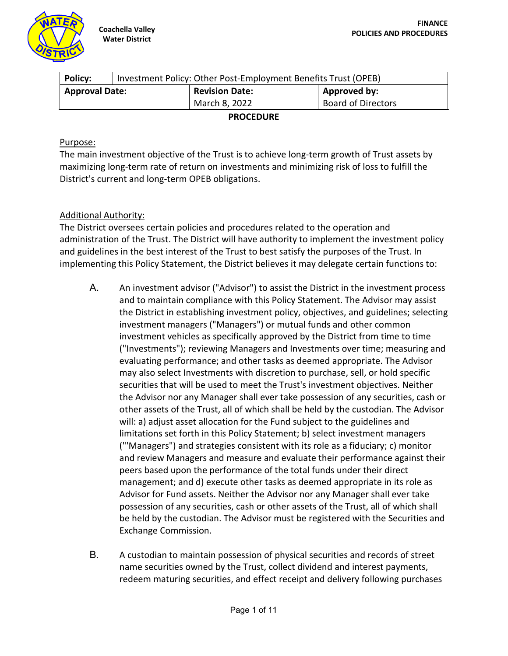

| <b>Policy:</b>        | Investment Policy: Other Post-Employment Benefits Trust (OPEB) |                       |                           |  |
|-----------------------|----------------------------------------------------------------|-----------------------|---------------------------|--|
| <b>Approval Date:</b> |                                                                | <b>Revision Date:</b> | Approved by:              |  |
|                       |                                                                | March 8, 2022         | <b>Board of Directors</b> |  |
| <b>PROCEDURE</b>      |                                                                |                       |                           |  |

### Purpose:

The main investment objective of the Trust is to achieve long-term growth of Trust assets by maximizing long-term rate of return on investments and minimizing risk of loss to fulfill the District's current and long-term OPEB obligations.

## Additional Authority:

The District oversees certain policies and procedures related to the operation and administration of the Trust. The District will have authority to implement the investment policy and guidelines in the best interest of the Trust to best satisfy the purposes of the Trust. In implementing this Policy Statement, the District believes it may delegate certain functions to:

- A. An investment advisor ("Advisor") to assist the District in the investment process and to maintain compliance with this Policy Statement. The Advisor may assist the District in establishing investment policy, objectives, and guidelines; selecting investment managers ("Managers") or mutual funds and other common investment vehicles as specifically approved by the District from time to time ("Investments"); reviewing Managers and Investments over time; measuring and evaluating performance; and other tasks as deemed appropriate. The Advisor may also select Investments with discretion to purchase, sell, or hold specific securities that will be used to meet the Trust's investment objectives. Neither the Advisor nor any Manager shall ever take possession of any securities, cash or other assets of the Trust, all of which shall be held by the custodian. The Advisor will: a) adjust asset allocation for the Fund subject to the guidelines and limitations set forth in this Policy Statement; b) select investment managers ("'Managers") and strategies consistent with its role as a fiduciary; c) monitor and review Managers and measure and evaluate their performance against their peers based upon the performance of the total funds under their direct management; and d) execute other tasks as deemed appropriate in its role as Advisor for Fund assets. Neither the Advisor nor any Manager shall ever take possession of any securities, cash or other assets of the Trust, all of which shall be held by the custodian. The Advisor must be registered with the Securities and Exchange Commission.
- B. A custodian to maintain possession of physical securities and records of street name securities owned by the Trust, collect dividend and interest payments, redeem maturing securities, and effect receipt and delivery following purchases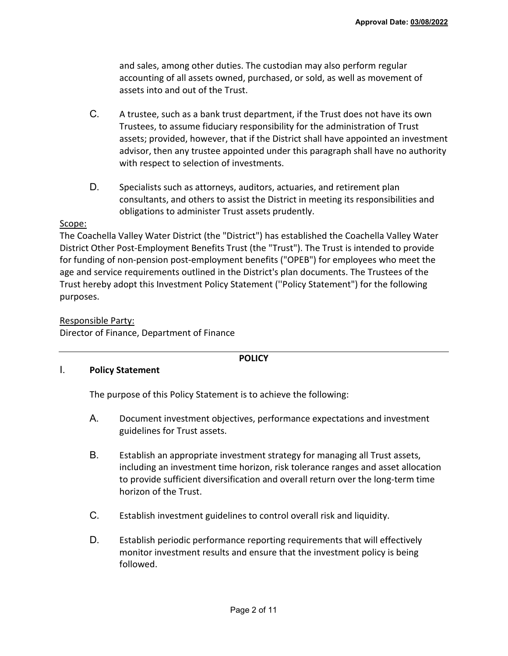and sales, among other duties. The custodian may also perform regular accounting of all assets owned, purchased, or sold, as well as movement of assets into and out of the Trust.

- C. A trustee, such as a bank trust department, if the Trust does not have its own Trustees, to assume fiduciary responsibility for the administration of Trust assets; provided, however, that if the District shall have appointed an investment advisor, then any trustee appointed under this paragraph shall have no authority with respect to selection of investments.
- D. Specialists such as attorneys, auditors, actuaries, and retirement plan consultants, and others to assist the District in meeting its responsibilities and obligations to administer Trust assets prudently.

#### Scope:

The Coachella Valley Water District (the "District") has established the Coachella Valley Water District Other Post-Employment Benefits Trust (the "Trust"). The Trust is intended to provide for funding of non-pension post-employment benefits ("OPEB") for employees who meet the age and service requirements outlined in the District's plan documents. The Trustees of the Trust hereby adopt this Investment Policy Statement (''Policy Statement") for the following purposes.

#### Responsible Party:

Director of Finance, Department of Finance

#### **POLICY**

#### I. **Policy Statement**

The purpose of this Policy Statement is to achieve the following:

- A. Document investment objectives, performance expectations and investment guidelines for Trust assets.
- B. Establish an appropriate investment strategy for managing all Trust assets, including an investment time horizon, risk tolerance ranges and asset allocation to provide sufficient diversification and overall return over the long-term time horizon of the Trust.
- C. Establish investment guidelines to control overall risk and liquidity.
- D. Establish periodic performance reporting requirements that will effectively monitor investment results and ensure that the investment policy is being followed.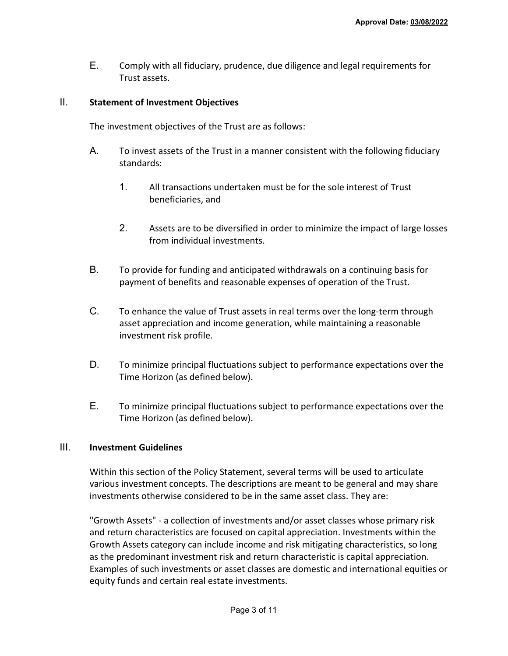E. Comply with all fiduciary, prudence, due diligence and legal requirements for Trust assets.

#### II. **Statement of Investment Objectives**

The investment objectives of the Trust are as follows:

- A. To invest assets of the Trust in a manner consistent with the following fiduciary standards:
	- 1. All transactions undertaken must be for the sole interest of Trust beneficiaries, and
	- 2. Assets are to be diversified in order to minimize the impact of large losses from individual investments.
- B. To provide for funding and anticipated withdrawals on a continuing basis for payment of benefits and reasonable expenses of operation of the Trust.
- C. To enhance the value of Trust assets in real terms over the long-term through asset appreciation and income generation, while maintaining a reasonable investment risk profile.
- D. To minimize principal fluctuations subject to performance expectations over the Time Horizon (as defined below).
- E. To minimize principal fluctuations subject to performance expectations over the Time Horizon (as defined below).

#### III. **Investment Guidelines**

Within this section of the Policy Statement, several terms will be used to articulate various investment concepts. The descriptions are meant to be general and may share investments otherwise considered to be in the same asset class. They are:

"Growth Assets" - a collection of investments and/or asset classes whose primary risk and return characteristics are focused on capital appreciation. Investments within the Growth Assets category can include income and risk mitigating characteristics, so long as the predominant investment risk and return characteristic is capital appreciation. Examples of such investments or asset classes are domestic and international equities or equity funds and certain real estate investments.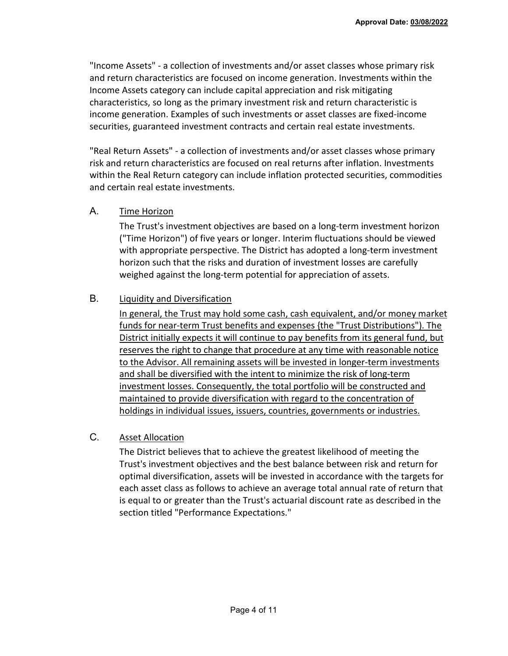"Income Assets" - a collection of investments and/or asset classes whose primary risk and return characteristics are focused on income generation. Investments within the Income Assets category can include capital appreciation and risk mitigating characteristics, so long as the primary investment risk and return characteristic is income generation. Examples of such investments or asset classes are fixed-income securities, guaranteed investment contracts and certain real estate investments.

"Real Return Assets" - a collection of investments and/or asset classes whose primary risk and return characteristics are focused on real returns after inflation. Investments within the Real Return category can include inflation protected securities, commodities and certain real estate investments.

### A. Time Horizon

The Trust's investment objectives are based on a long-term investment horizon ("Time Horizon") of five years or longer. Interim fluctuations should be viewed with appropriate perspective. The District has adopted a long-term investment horizon such that the risks and duration of investment losses are carefully weighed against the long-term potential for appreciation of assets.

## B. Liquidity and Diversification

In general, the Trust may hold some cash, cash equivalent, and/or money market funds for near-term Trust benefits and expenses {the "Trust Distributions"). The District initially expects it will continue to pay benefits from its general fund, but reserves the right to change that procedure at any time with reasonable notice to the Advisor. All remaining assets will be invested in longer-term investments and shall be diversified with the intent to minimize the risk of long-term investment losses. Consequently, the total portfolio will be constructed and maintained to provide diversification with regard to the concentration of holdings in individual issues, issuers, countries, governments or industries.

## C. Asset Allocation

The District believes that to achieve the greatest likelihood of meeting the Trust's investment objectives and the best balance between risk and return for optimal diversification, assets will be invested in accordance with the targets for each asset class as follows to achieve an average total annual rate of return that is equal to or greater than the Trust's actuarial discount rate as described in the section titled "Performance Expectations."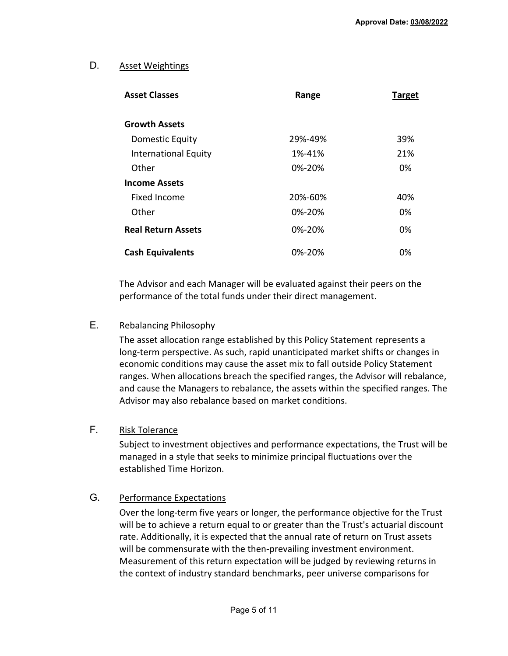# D. Asset Weightings

| <b>Asset Classes</b>      | Range        | <b>Target</b> |
|---------------------------|--------------|---------------|
| <b>Growth Assets</b>      |              |               |
| Domestic Equity           | 29%-49%      | 39%           |
| International Equity      | 1%-41%       | 21%           |
| Other                     | $0\% - 20\%$ | 0%            |
| <b>Income Assets</b>      |              |               |
| Fixed Income              | 20%-60%      | 40%           |
| Other                     | $0\% - 20\%$ | 0%            |
| <b>Real Return Assets</b> | $0\% - 20\%$ | 0%            |
| <b>Cash Equivalents</b>   | 0%-20%       | 0%            |

The Advisor and each Manager will be evaluated against their peers on the performance of the total funds under their direct management.

## E. Rebalancing Philosophy

The asset allocation range established by this Policy Statement represents a long-term perspective. As such, rapid unanticipated market shifts or changes in economic conditions may cause the asset mix to fall outside Policy Statement ranges. When allocations breach the specified ranges, the Advisor will rebalance, and cause the Managers to rebalance, the assets within the specified ranges. The Advisor may also rebalance based on market conditions.

## F. Risk Tolerance

Subject to investment objectives and performance expectations, the Trust will be managed in a style that seeks to minimize principal fluctuations over the established Time Horizon.

## G. Performance Expectations

Over the long-term five years or longer, the performance objective for the Trust will be to achieve a return equal to or greater than the Trust's actuarial discount rate. Additionally, it is expected that the annual rate of return on Trust assets will be commensurate with the then-prevailing investment environment. Measurement of this return expectation will be judged by reviewing returns in the context of industry standard benchmarks, peer universe comparisons for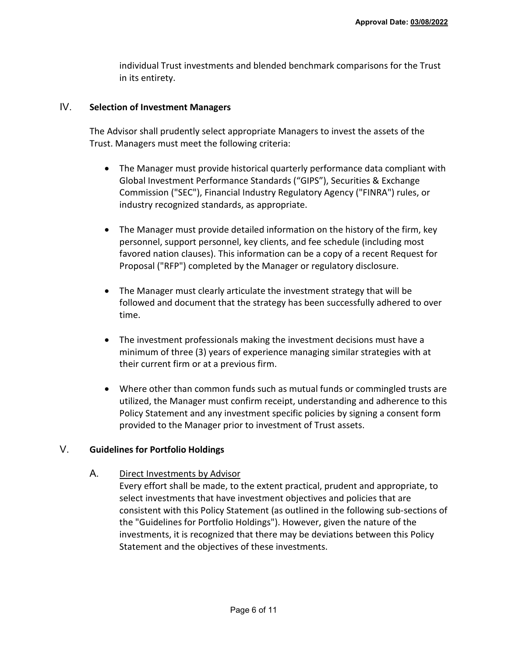individual Trust investments and blended benchmark comparisons for the Trust in its entirety.

#### IV. **Selection of Investment Managers**

The Advisor shall prudently select appropriate Managers to invest the assets of the Trust. Managers must meet the following criteria:

- The Manager must provide historical quarterly performance data compliant with Global Investment Performance Standards ("GIPS"), Securities & Exchange Commission ("SEC"), Financial Industry Regulatory Agency ("FINRA") rules, or industry recognized standards, as appropriate.
- The Manager must provide detailed information on the history of the firm, key personnel, support personnel, key clients, and fee schedule (including most favored nation clauses). This information can be a copy of a recent Request for Proposal ("RFP") completed by the Manager or regulatory disclosure.
- The Manager must clearly articulate the investment strategy that will be followed and document that the strategy has been successfully adhered to over time.
- The investment professionals making the investment decisions must have a minimum of three (3) years of experience managing similar strategies with at their current firm or at a previous firm.
- Where other than common funds such as mutual funds or commingled trusts are utilized, the Manager must confirm receipt, understanding and adherence to this Policy Statement and any investment specific policies by signing a consent form provided to the Manager prior to investment of Trust assets.

## V. **Guidelines for Portfolio Holdings**

## A. Direct Investments by Advisor

Every effort shall be made, to the extent practical, prudent and appropriate, to select investments that have investment objectives and policies that are consistent with this Policy Statement (as outlined in the following sub-sections of the "Guidelines for Portfolio Holdings"). However, given the nature of the investments, it is recognized that there may be deviations between this Policy Statement and the objectives of these investments.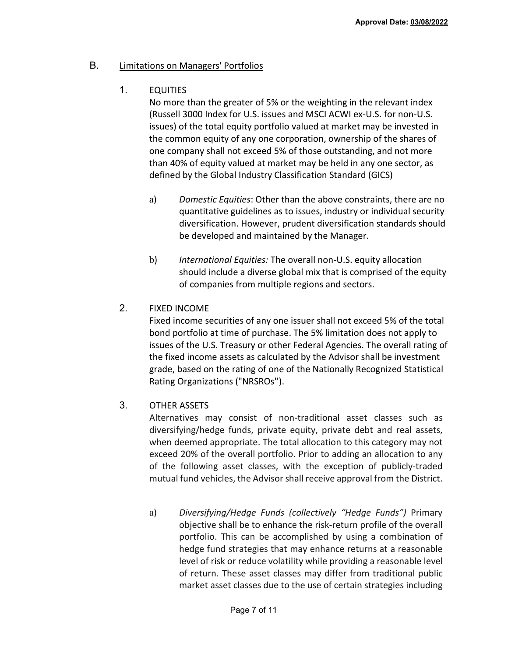## B. Limitations on Managers' Portfolios

# 1. EQUITIES

No more than the greater of 5% or the weighting in the relevant index (Russell 3000 Index for U.S. issues and MSCI ACWI ex-U.S. for non-U.S. issues) of the total equity portfolio valued at market may be invested in the common equity of any one corporation, ownership of the shares of one company shall not exceed 5% of those outstanding, and not more than 40% of equity valued at market may be held in any one sector, as defined by the Global Industry Classification Standard (GICS)

- a) *Domestic Equities*: Other than the above constraints, there are no quantitative guidelines as to issues, industry or individual security diversification. However, prudent diversification standards should be developed and maintained by the Manager.
- b) *International Equities:* The overall non-U.S. equity allocation should include a diverse global mix that is comprised of the equity of companies from multiple regions and sectors.
- 2. FIXED INCOME

Fixed income securities of any one issuer shall not exceed 5% of the total bond portfolio at time of purchase. The 5% limitation does not apply to issues of the U.S. Treasury or other Federal Agencies. The overall rating of the fixed income assets as calculated by the Advisor shall be investment grade, based on the rating of one of the Nationally Recognized Statistical Rating Organizations ("NRSROs'').

3. OTHER ASSETS

Alternatives may consist of non-traditional asset classes such as diversifying/hedge funds, private equity, private debt and real assets, when deemed appropriate. The total allocation to this category may not exceed 20% of the overall portfolio. Prior to adding an allocation to any of the following asset classes, with the exception of publicly-traded mutual fund vehicles, the Advisor shall receive approval from the District.

a) *Diversifying/Hedge Funds (collectively "Hedge Funds")* Primary objective shall be to enhance the risk-return profile of the overall portfolio. This can be accomplished by using a combination of hedge fund strategies that may enhance returns at a reasonable level of risk or reduce volatility while providing a reasonable level of return. These asset classes may differ from traditional public market asset classes due to the use of certain strategies including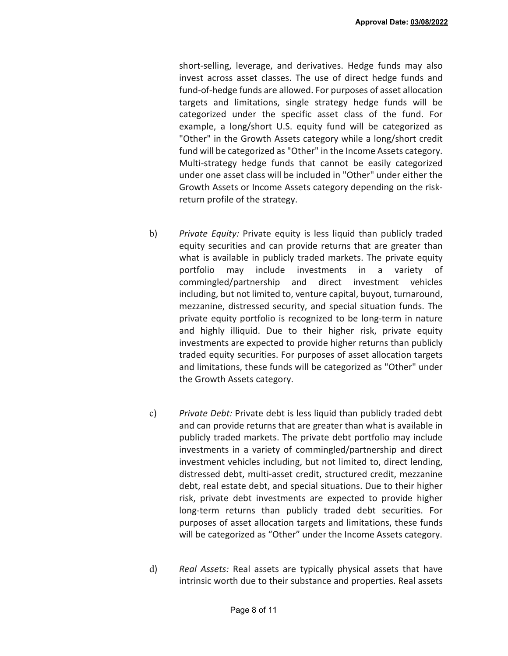short-selling, leverage, and derivatives. Hedge funds may also invest across asset classes. The use of direct hedge funds and fund-of-hedge funds are allowed. For purposes of asset allocation targets and limitations, single strategy hedge funds will be categorized under the specific asset class of the fund. For example, a long/short U.S. equity fund will be categorized as "Other" in the Growth Assets category while a long/short credit fund will be categorized as "Other" in the Income Assets category. Multi-strategy hedge funds that cannot be easily categorized under one asset class will be included in "Other" under either the Growth Assets or Income Assets category depending on the riskreturn profile of the strategy.

- b) *Private Equity:* Private equity is less liquid than publicly traded equity securities and can provide returns that are greater than what is available in publicly traded markets. The private equity portfolio may include investments in a variety of commingled/partnership and direct investment vehicles including, but not limited to, venture capital, buyout, turnaround, mezzanine, distressed security, and special situation funds. The private equity portfolio is recognized to be long-term in nature and highly illiquid. Due to their higher risk, private equity investments are expected to provide higher returns than publicly traded equity securities. For purposes of asset allocation targets and limitations, these funds will be categorized as "Other" under the Growth Assets category.
- c) *Private Debt:* Private debt is less liquid than publicly traded debt and can provide returns that are greater than what is available in publicly traded markets. The private debt portfolio may include investments in a variety of commingled/partnership and direct investment vehicles including, but not limited to, direct lending, distressed debt, multi-asset credit, structured credit, mezzanine debt, real estate debt, and special situations. Due to their higher risk, private debt investments are expected to provide higher long-term returns than publicly traded debt securities. For purposes of asset allocation targets and limitations, these funds will be categorized as "Other" under the Income Assets category.
- d) *Real Assets:* Real assets are typically physical assets that have intrinsic worth due to their substance and properties. Real assets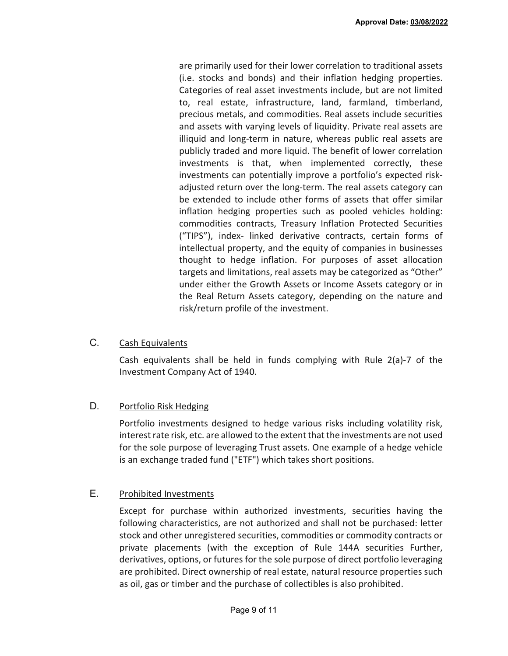are primarily used for their lower correlation to traditional assets (i.e. stocks and bonds) and their inflation hedging properties. Categories of real asset investments include, but are not limited to, real estate, infrastructure, land, farmland, timberland, precious metals, and commodities. Real assets include securities and assets with varying levels of liquidity. Private real assets are illiquid and long-term in nature, whereas public real assets are publicly traded and more liquid. The benefit of lower correlation investments is that, when implemented correctly, these investments can potentially improve a portfolio's expected riskadjusted return over the long-term. The real assets category can be extended to include other forms of assets that offer similar inflation hedging properties such as pooled vehicles holding: commodities contracts, Treasury Inflation Protected Securities ("TIPS"), index- linked derivative contracts, certain forms of intellectual property, and the equity of companies in businesses thought to hedge inflation. For purposes of asset allocation targets and limitations, real assets may be categorized as "Other" under either the Growth Assets or Income Assets category or in the Real Return Assets category, depending on the nature and risk/return profile of the investment.

### C. Cash Equivalents

Cash equivalents shall be held in funds complying with Rule 2(a)-7 of the Investment Company Act of 1940.

## D. Portfolio Risk Hedging

Portfolio investments designed to hedge various risks including volatility risk, interest rate risk, etc. are allowed to the extent that the investments are not used for the sole purpose of leveraging Trust assets. One example of a hedge vehicle is an exchange traded fund ("ETF") which takes short positions.

## E. Prohibited Investments

Except for purchase within authorized investments, securities having the following characteristics, are not authorized and shall not be purchased: letter stock and other unregistered securities, commodities or commodity contracts or private placements (with the exception of Rule 144A securities Further, derivatives, options, or futures for the sole purpose of direct portfolio leveraging are prohibited. Direct ownership of real estate, natural resource properties such as oil, gas or timber and the purchase of collectibles is also prohibited.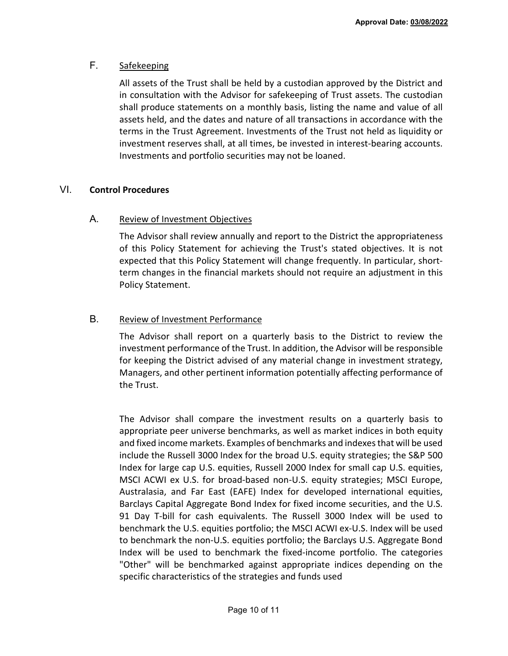# F. Safekeeping

All assets of the Trust shall be held by a custodian approved by the District and in consultation with the Advisor for safekeeping of Trust assets. The custodian shall produce statements on a monthly basis, listing the name and value of all assets held, and the dates and nature of all transactions in accordance with the terms in the Trust Agreement. Investments of the Trust not held as liquidity or investment reserves shall, at all times, be invested in interest-bearing accounts. Investments and portfolio securities may not be loaned.

# VI. **Control Procedures**

## A. Review of Investment Objectives

The Advisor shall review annually and report to the District the appropriateness of this Policy Statement for achieving the Trust's stated objectives. It is not expected that this Policy Statement will change frequently. In particular, shortterm changes in the financial markets should not require an adjustment in this Policy Statement.

# B. Review of Investment Performance

The Advisor shall report on a quarterly basis to the District to review the investment performance of the Trust. In addition, the Advisor will be responsible for keeping the District advised of any material change in investment strategy, Managers, and other pertinent information potentially affecting performance of the Trust.

The Advisor shall compare the investment results on a quarterly basis to appropriate peer universe benchmarks, as well as market indices in both equity and fixed income markets. Examples of benchmarks and indexes that will be used include the Russell 3000 Index for the broad U.S. equity strategies; the S&P 500 Index for large cap U.S. equities, Russell 2000 Index for small cap U.S. equities, MSCI ACWI ex U.S. for broad-based non-U.S. equity strategies; MSCI Europe, Australasia, and Far East (EAFE) Index for developed international equities, Barclays Capital Aggregate Bond Index for fixed income securities, and the U.S. 91 Day T-bill for cash equivalents. The Russell 3000 Index will be used to benchmark the U.S. equities portfolio; the MSCI ACWI ex-U.S. Index will be used to benchmark the non-U.S. equities portfolio; the Barclays U.S. Aggregate Bond Index will be used to benchmark the fixed-income portfolio. The categories "Other" will be benchmarked against appropriate indices depending on the specific characteristics of the strategies and funds used